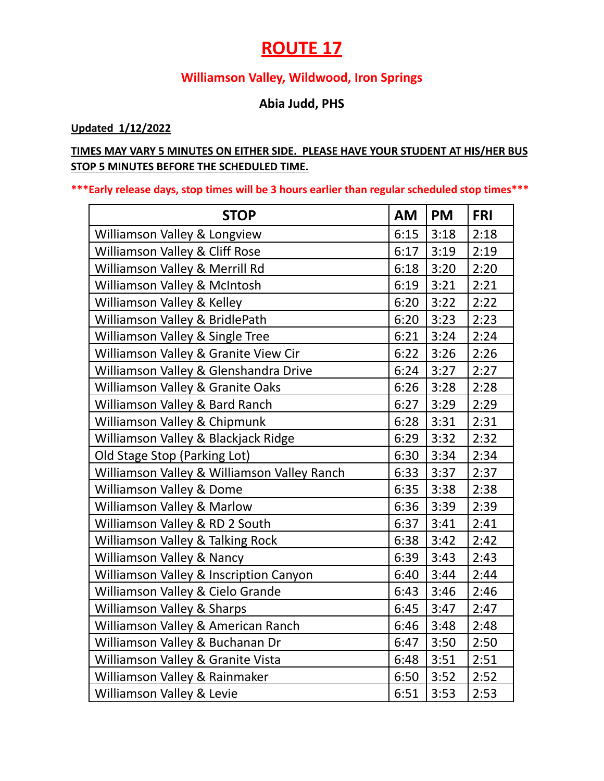## **ROUTE 17**

#### **Williamson Valley, Wildwood, Iron Springs**

#### **Abia Judd, PHS**

#### **Updated 1/12/2022**

#### **TIMES MAY VARY 5 MINUTES ON EITHER SIDE. PLEASE HAVE YOUR STUDENT AT HIS/HER BUS STOP 5 MINUTES BEFORE THE SCHEDULED TIME.**

#### **\*\*\*Early release days, stop times will be 3 hours earlier than regular scheduled stop times\*\*\***

| <b>STOP</b>                                 | <b>AM</b> | <b>PM</b> | <b>FRI</b> |
|---------------------------------------------|-----------|-----------|------------|
| Williamson Valley & Longview                | 6:15      | 3:18      | 2:18       |
| Williamson Valley & Cliff Rose              | 6:17      | 3:19      | 2:19       |
| Williamson Valley & Merrill Rd              | 6:18      | 3:20      | 2:20       |
| Williamson Valley & McIntosh                | 6:19      | 3:21      | 2:21       |
| Williamson Valley & Kelley                  | 6:20      | 3:22      | 2:22       |
| Williamson Valley & BridlePath              | 6:20      | 3:23      | 2:23       |
| Williamson Valley & Single Tree             | 6:21      | 3:24      | 2:24       |
| Williamson Valley & Granite View Cir        | 6:22      | 3:26      | 2:26       |
| Williamson Valley & Glenshandra Drive       | 6:24      | 3:27      | 2:27       |
| Williamson Valley & Granite Oaks            | 6:26      | 3:28      | 2:28       |
| Williamson Valley & Bard Ranch              | 6:27      | 3:29      | 2:29       |
| Williamson Valley & Chipmunk                | 6:28      | 3:31      | 2:31       |
| Williamson Valley & Blackjack Ridge         | 6:29      | 3:32      | 2:32       |
| Old Stage Stop (Parking Lot)                | 6:30      | 3:34      | 2:34       |
| Williamson Valley & Williamson Valley Ranch | 6:33      | 3:37      | 2:37       |
| Williamson Valley & Dome                    | 6:35      | 3:38      | 2:38       |
| Williamson Valley & Marlow                  | 6:36      | 3:39      | 2:39       |
| Williamson Valley & RD 2 South              | 6:37      | 3:41      | 2:41       |
| Williamson Valley & Talking Rock            | 6:38      | 3:42      | 2:42       |
| Williamson Valley & Nancy                   | 6:39      | 3:43      | 2:43       |
| Williamson Valley & Inscription Canyon      | 6:40      | 3:44      | 2:44       |
| Williamson Valley & Cielo Grande            | 6:43      | 3:46      | 2:46       |
| Williamson Valley & Sharps                  | 6:45      | 3:47      | 2:47       |
| Williamson Valley & American Ranch          | 6:46      | 3:48      | 2:48       |
| Williamson Valley & Buchanan Dr             | 6:47      | 3:50      | 2:50       |
| Williamson Valley & Granite Vista           | 6:48      | 3:51      | 2:51       |
| Williamson Valley & Rainmaker               | 6:50      | 3:52      | 2:52       |
| Williamson Valley & Levie                   | 6:51      | 3:53      | 2:53       |